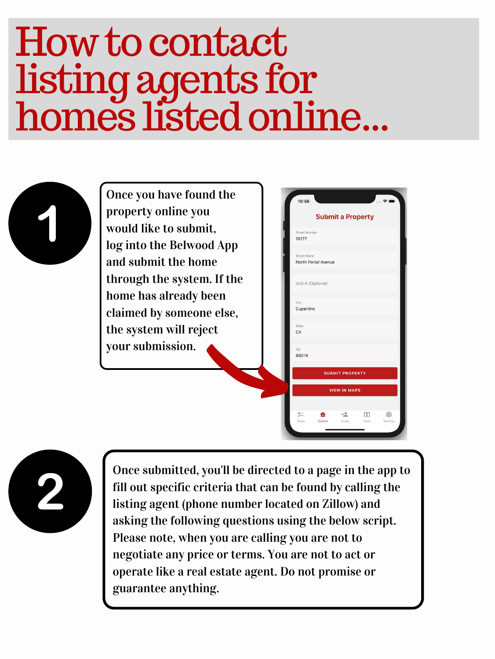## Howtocontact listingagents for homes listedonline...



Once you have found the property online you would like to submit, log into the Belwood App and submit the home through the system. If the home has already been claimed by someone else, the system will reject

| 10:56                         |                          | anno. |
|-------------------------------|--------------------------|-------|
|                               | <b>Submit a Property</b> |       |
| <b>Street Number</b><br>10177 |                          |       |
| <b>Street Name</b>            | North Portal Avenue      |       |
|                               | Unit # (Optional)        |       |
| City<br>Cupertino             |                          |       |
| State<br>CA                   |                          |       |





Once submitted, you'll be directed to a page in the app to fill out specific criteria that can be found by calling the listing agent (phone number located on Zillow) and asking the following questions using the below script. Please note, when you are calling you are not to negotiate any price or terms. You are not to act or operate like a real estate agent. Do not promise or guarantee anything.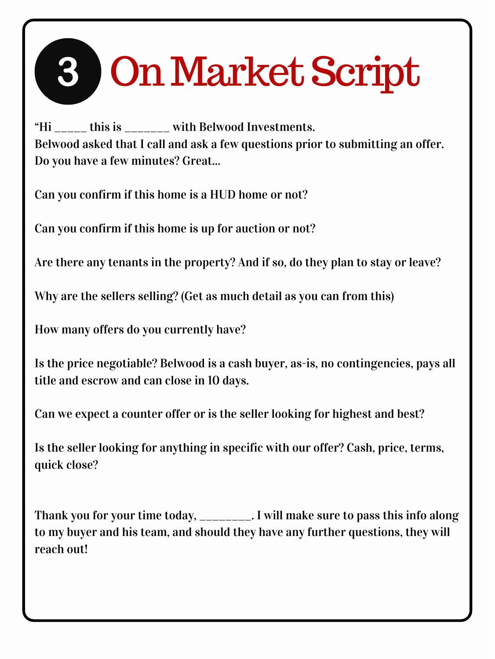"Hi  $\frac{1}{2}$  this is  $\frac{1}{2}$  with Belwood Investments. Belwood asked that I call and ask a few questions prior to submitting an offer. Do you have a few minutes? Great...

Can you confirm if this home is a HUD home or not?

Can you confirm if this home is up for auction or not?

Are there any tenants in the property? And if so, do they plan to stay or leave?

Why are the sellers selling? (Get as much detail as you can from this)

How many offers do you currently have?

Thank you for your time today, \_\_\_\_\_\_\_\_. I will make sure to pass this info along to my buyer and his team, and should they have any further questions, they will reach out!

Is the price negotiable? Belwood is a cash buyer, as-is, no contingencies, pays all title and escrow and can close in 10 days.

Can we expect a counter offer or is the seller looking for highest and best?

Is the seller looking for anything in specific with our offer? Cash, price, terms, quick close?

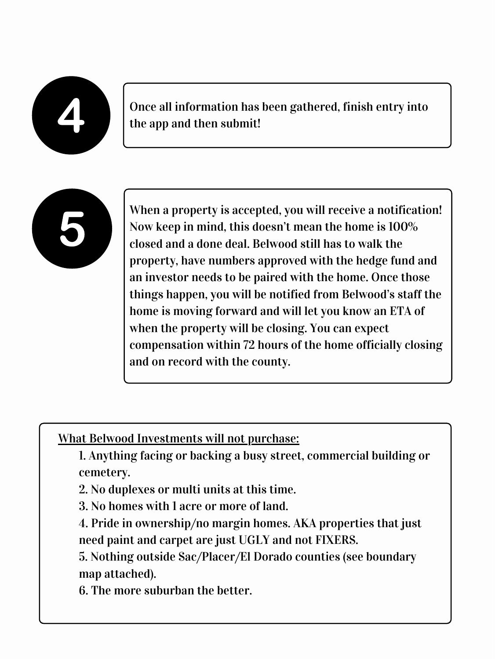

Once all information has been gathered, finish entry into the app and then submit!



When a property is accepted, you will receive a notification! Now keep in mind, this doesn't mean the home is 100% closed and a done deal. Belwood still has to walk the property, have numbers approved with the hedge fund and an investor needs to be paired with the home. Once those things happen, you will be notified from Belwood's staff the home is moving forward and will let you know an ETA of when the property will be closing. You can expect compensation within 72 hours of the home officially closing and on record with the county.

## What Belwood Investments will not purchase:

- 1. Anything facing or backing a busy street, commercial building or cemetery.
- 2. No duplexes or multi units at this time.
- 3. No homes with 1 acre or more of land.
- 4. Pride in ownership/no margin homes. AKA properties that just need paint and carpet are just UGLY and not FIXERS.
- 5. Nothing outside Sac/Placer/El Dorado counties (see boundary map attached).
- 6. The more suburban the better.